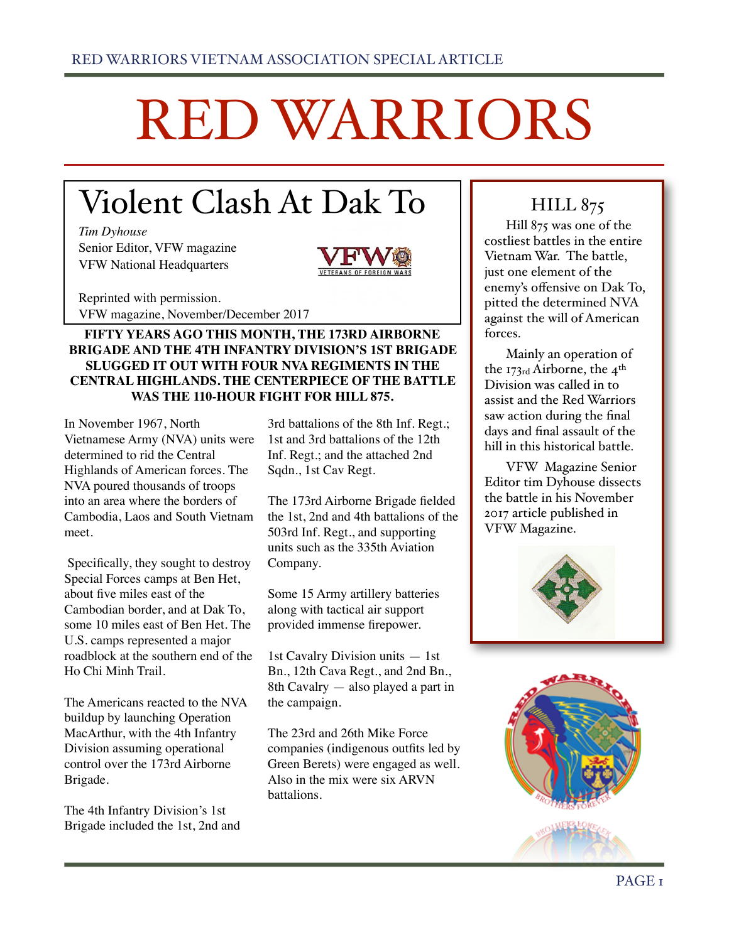# RED WARRIORS

# Violent Clash At Dak To

*Tim Dyhouse*  Senior Editor, VFW magazine VFW National Headquarters



Reprinted with permission. VFW magazine, November/December 2017

# **FIFTY YEARS AGO THIS MONTH, THE 173RD AIRBORNE BRIGADE AND THE 4TH INFANTRY DIVISION'S 1ST BRIGADE SLUGGED IT OUT WITH FOUR NVA REGIMENTS IN THE CENTRAL HIGHLANDS. THE CENTERPIECE OF THE BATTLE WAS THE 110-HOUR FIGHT FOR HILL 875.**

In November 1967, North Vietnamese Army (NVA) units were determined to rid the Central Highlands of American forces. The NVA poured thousands of troops into an area where the borders of Cambodia, Laos and South Vietnam meet.

 Specifically, they sought to destroy Special Forces camps at Ben Het, about five miles east of the Cambodian border, and at Dak To, some 10 miles east of Ben Het. The U.S. camps represented a major roadblock at the southern end of the Ho Chi Minh Trail.

The Americans reacted to the NVA buildup by launching Operation MacArthur, with the 4th Infantry Division assuming operational control over the 173rd Airborne Brigade.

The 4th Infantry Division's 1st Brigade included the 1st, 2nd and

3rd battalions of the 8th Inf. Regt.; 1st and 3rd battalions of the 12th Inf. Regt.; and the attached 2nd Sqdn., 1st Cav Regt.

The 173rd Airborne Brigade fielded the 1st, 2nd and 4th battalions of the 503rd Inf. Regt., and supporting units such as the 335th Aviation Company.

Some 15 Army artillery batteries along with tactical air support provided immense firepower.

1st Cavalry Division units — 1st Bn., 12th Cava Regt., and 2nd Bn., 8th Cavalry — also played a part in the campaign.

The 23rd and 26th Mike Force companies (indigenous outfits led by Green Berets) were engaged as well. Also in the mix were six ARVN battalions.

# **HILL 875**

Hill 875 was one of the costliest battles in the entire Vietnam War. The battle, just one element of the enemy's offensive on Dak To, pitted the determined NVA against the will of American forces.

Mainly an operation of the 173rd Airborne, the 4th Division was called in to assist and the Red Warriors saw action during the final days and final assault of the hill in this historical battle.

VFW Magazine Senior Editor tim Dyhouse dissects the battle in his November 2017 article published in VFW Magazine.



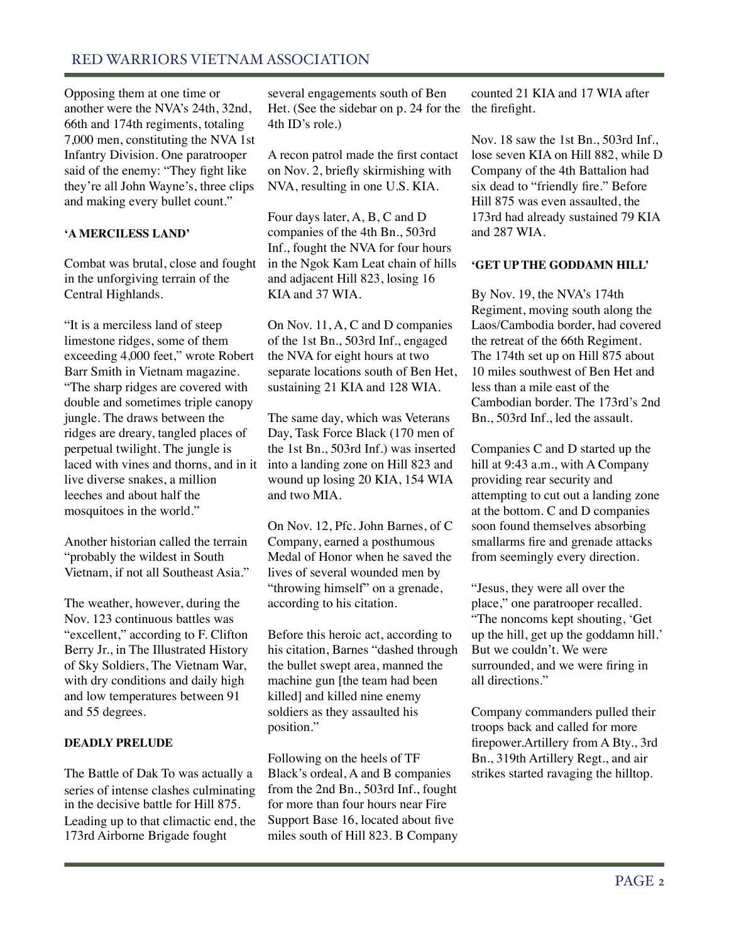Opposing them at one time or another were the NVA's 24th, 32nd, 66th and 174th regiments, totaling 7,000 men, constituting the NVA 1st Infantry Division. One paratrooper said of the enemy: "They fight like they're all John Wayne's, three clips and making every bullet count."

# **'A MERCILESS LAND'**

Combat was brutal, close and fought in the unforgiving terrain of the Central Highlands.

"It is a merciless land of steep limestone ridges, some of them exceeding 4,000 feet," wrote Robert Barr Smith in Vietnam magazine. "The sharp ridges are covered with double and sometimes triple canopy jungle. The draws between the ridges are dreary, tangled places of perpetual twilight. The jungle is laced with vines and thorns, and in it live diverse snakes, a million leeches and about half the mosquitoes in the world."

Another historian called the terrain "probably the wildest in South Vietnam, if not all Southeast Asia."

The weather, however, during the Nov. 123 continuous battles was "excellent," according to F. Clifton Berry Jr., in The Illustrated History of Sky Soldiers, The Vietnam War, with dry conditions and daily high and low temperatures between 91 and 55 degrees.

# **DEADLY PRELUDE**

The Battle of Dak To was actually a series of intense clashes culminating in the decisive battle for Hill 875. Leading up to that climactic end, the 173rd Airborne Brigade fought

several engagements south of Ben Het. (See the sidebar on p. 24 for the 4th ID's role.)

A recon patrol made the first contact on Nov. 2, briefly skirmishing with NVA, resulting in one U.S. KIA.

Four days later, A, B, C and D companies of the 4th Bn., 503rd Inf., fought the NVA for four hours in the Ngok Kam Leat chain of hills and adjacent Hill 823, losing 16 KIA and 37 WIA.

On Nov. 11, A, C and D companies of the 1st Bn., 503rd Inf., engaged the NVA for eight hours at two separate locations south of Ben Het, sustaining 21 KIA and 128 WIA.

The same day, which was Veterans Day, Task Force Black (170 men of the 1st Bn., 503rd Inf.) was inserted into a landing zone on Hill 823 and wound up losing 20 KIA, 154 WIA and two MIA.

On Nov. 12, Pfc. John Barnes, of C Company, earned a posthumous Medal of Honor when he saved the lives of several wounded men by "throwing himself" on a grenade, according to his citation.

Before this heroic act, according to his citation, Barnes "dashed through the bullet swept area, manned the machine gun [the team had been killed] and killed nine enemy soldiers as they assaulted his position."

Following on the heels of TF Black's ordeal, A and B companies from the 2nd Bn., 503rd Inf., fought for more than four hours near Fire Support Base 16, located about five miles south of Hill 823. B Company

counted 21 KIA and 17 WIA after the firefight.

Nov. 18 saw the 1st Bn., 503rd Inf., lose seven KIA on Hill 882, while D Company of the 4th Battalion had six dead to "friendly fire." Before Hill 875 was even assaulted, the 173rd had already sustained 79 KIA and 287 WIA.

# **'GET UP THE GODDAMN HILL'**

By Nov. 19, the NVA's 174th Regiment, moving south along the Laos/Cambodia border, had covered the retreat of the 66th Regiment. The 174th set up on Hill 875 about 10 miles southwest of Ben Het and less than a mile east of the Cambodian border. The 173rd's 2nd Bn., 503rd Inf., led the assault.

Companies C and D started up the hill at 9:43 a.m., with A Company providing rear security and attempting to cut out a landing zone at the bottom. C and D companies soon found themselves absorbing smallarms fire and grenade attacks from seemingly every direction.

"Jesus, they were all over the place," one paratrooper recalled. "The noncoms kept shouting, 'Get up the hill, get up the goddamn hill.' But we couldn't. We were surrounded, and we were firing in all directions."

Company commanders pulled their troops back and called for more firepower.Artillery from A Bty., 3rd Bn., 319th Artillery Regt., and air strikes started ravaging the hilltop.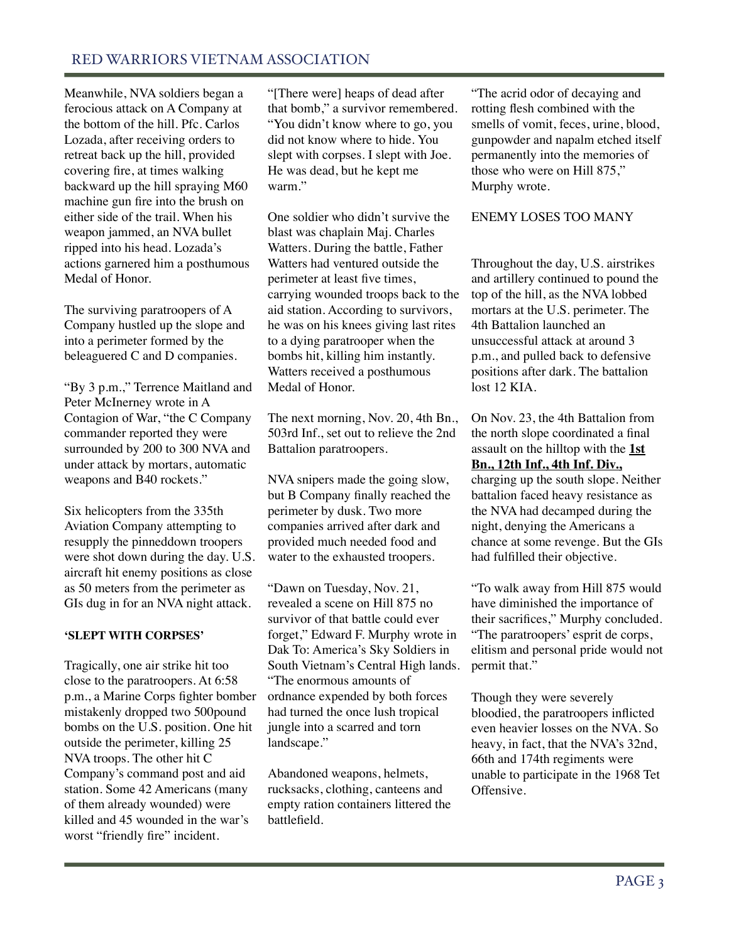# RED WARRIORS VIETNAM ASSOCIATION

Meanwhile, NVA soldiers began a ferocious attack on A Company at the bottom of the hill. Pfc. Carlos Lozada, after receiving orders to retreat back up the hill, provided covering fire, at times walking backward up the hill spraying M60 machine gun fire into the brush on either side of the trail. When his weapon jammed, an NVA bullet ripped into his head. Lozada's actions garnered him a posthumous Medal of Honor.

The surviving paratroopers of A Company hustled up the slope and into a perimeter formed by the beleaguered C and D companies.

"By 3 p.m.," Terrence Maitland and Peter McInerney wrote in A Contagion of War, "the C Company commander reported they were surrounded by 200 to 300 NVA and under attack by mortars, automatic weapons and B40 rockets."

Six helicopters from the 335th Aviation Company attempting to resupply the pinneddown troopers were shot down during the day. U.S. aircraft hit enemy positions as close as 50 meters from the perimeter as GIs dug in for an NVA night attack.

# **'SLEPT WITH CORPSES'**

Tragically, one air strike hit too close to the paratroopers. At 6:58 p.m., a Marine Corps fighter bomber mistakenly dropped two 500pound bombs on the U.S. position. One hit outside the perimeter, killing 25 NVA troops. The other hit C Company's command post and aid station. Some 42 Americans (many of them already wounded) were killed and 45 wounded in the war's worst "friendly fire" incident.

"[There were] heaps of dead after that bomb," a survivor remembered. "You didn't know where to go, you did not know where to hide. You slept with corpses. I slept with Joe. He was dead, but he kept me warm."

One soldier who didn't survive the blast was chaplain Maj. Charles Watters. During the battle, Father Watters had ventured outside the perimeter at least five times, carrying wounded troops back to the aid station. According to survivors, he was on his knees giving last rites to a dying paratrooper when the bombs hit, killing him instantly. Watters received a posthumous Medal of Honor.

The next morning, Nov. 20, 4th Bn., 503rd Inf., set out to relieve the 2nd Battalion paratroopers.

NVA snipers made the going slow, but B Company finally reached the perimeter by dusk. Two more companies arrived after dark and provided much needed food and water to the exhausted troopers.

"Dawn on Tuesday, Nov. 21, revealed a scene on Hill 875 no survivor of that battle could ever forget," Edward F. Murphy wrote in Dak To: America's Sky Soldiers in South Vietnam's Central High lands. "The enormous amounts of ordnance expended by both forces had turned the once lush tropical jungle into a scarred and torn landscape."

Abandoned weapons, helmets, rucksacks, clothing, canteens and empty ration containers littered the battlefield.

"The acrid odor of decaying and rotting flesh combined with the smells of vomit, feces, urine, blood, gunpowder and napalm etched itself permanently into the memories of those who were on Hill 875," Murphy wrote.

# ENEMY LOSES TOO MANY

Throughout the day, U.S. airstrikes and artillery continued to pound the top of the hill, as the NVA lobbed mortars at the U.S. perimeter. The 4th Battalion launched an unsuccessful attack at around 3 p.m., and pulled back to defensive positions after dark. The battalion lost 12 KIA.

On Nov. 23, the 4th Battalion from the north slope coordinated a final assault on the hilltop with the **1st Bn., 12th Inf., 4th Inf. Div.,** charging up the south slope. Neither battalion faced heavy resistance as the NVA had decamped during the night, denying the Americans a chance at some revenge. But the GIs had fulfilled their objective.

"To walk away from Hill 875 would have diminished the importance of their sacrifices," Murphy concluded. "The paratroopers' esprit de corps, elitism and personal pride would not permit that."

Though they were severely bloodied, the paratroopers inflicted even heavier losses on the NVA. So heavy, in fact, that the NVA's 32nd, 66th and 174th regiments were unable to participate in the 1968 Tet Offensive.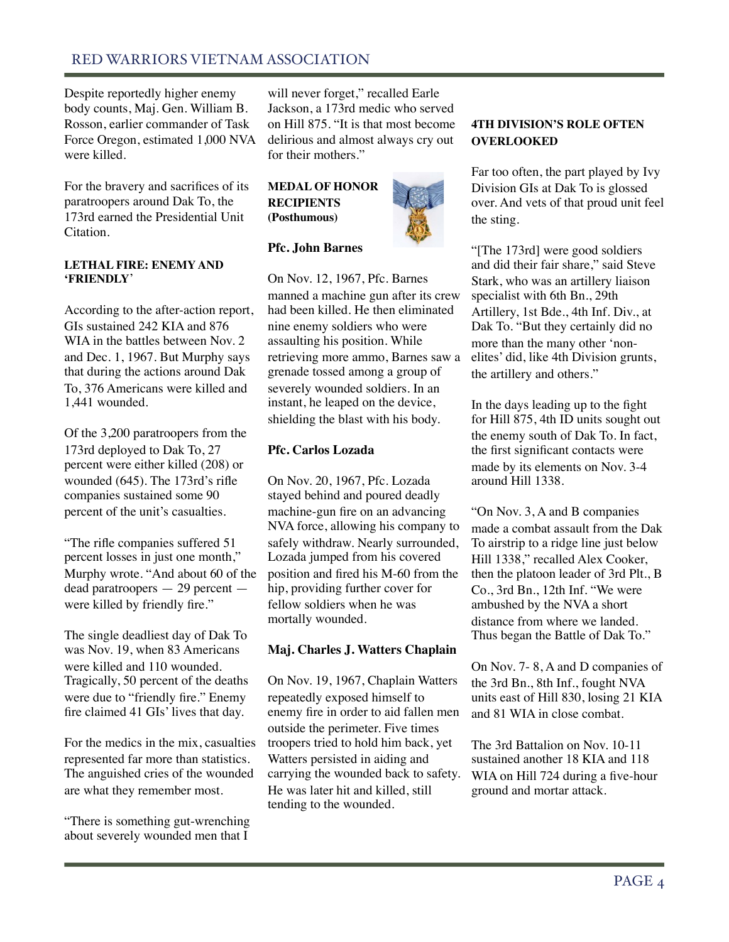# RED WARRIORS VIETNAM ASSOCIATION

Despite reportedly higher enemy body counts, Maj. Gen. William B. Rosson, earlier commander of Task Force Oregon, estimated 1,000 NVA were killed.

For the bravery and sacrifices of its paratroopers around Dak To, the 173rd earned the Presidential Unit Citation.

#### **LETHAL FIRE: ENEMY AND 'FRIENDLY**'

According to the after-action report, GIs sustained 242 KIA and 876 WIA in the battles between Nov. 2 and Dec. 1, 1967. But Murphy says that during the actions around Dak To, 376 Americans were killed and 1,441 wounded.

Of the 3,200 paratroopers from the 173rd deployed to Dak To, 27 percent were either killed (208) or wounded (645). The 173rd's rifle companies sustained some 90 percent of the unit's casualties.

"The rifle companies suffered 51 percent losses in just one month," Murphy wrote. "And about 60 of the dead paratroopers — 29 percent were killed by friendly fire."

The single deadliest day of Dak To was Nov. 19, when 83 Americans were killed and 110 wounded. Tragically, 50 percent of the deaths were due to "friendly fire." Enemy fire claimed 41 GIs' lives that day.

For the medics in the mix, casualties represented far more than statistics. The anguished cries of the wounded are what they remember most.

"There is something gut-wrenching about severely wounded men that I

will never forget," recalled Earle Jackson, a 173rd medic who served on Hill 875. "It is that most become delirious and almost always cry out for their mothers."

# **MEDAL OF HONOR RECIPIENTS (Posthumous)**

#### **Pfc. John Barnes**

On Nov. 12, 1967, Pfc. Barnes manned a machine gun after its crew had been killed. He then eliminated nine enemy soldiers who were assaulting his position. While retrieving more ammo, Barnes saw a grenade tossed among a group of severely wounded soldiers. In an instant, he leaped on the device, shielding the blast with his body.

#### **Pfc. Carlos Lozada**

On Nov. 20, 1967, Pfc. Lozada stayed behind and poured deadly machine-gun fire on an advancing NVA force, allowing his company to safely withdraw. Nearly surrounded, Lozada jumped from his covered position and fired his M-60 from the hip, providing further cover for fellow soldiers when he was mortally wounded.

# **Maj. Charles J. Watters Chaplain**

On Nov. 19, 1967, Chaplain Watters repeatedly exposed himself to enemy fire in order to aid fallen men outside the perimeter. Five times troopers tried to hold him back, yet Watters persisted in aiding and carrying the wounded back to safety. He was later hit and killed, still tending to the wounded.

# **4TH DIVISION'S ROLE OFTEN OVERLOOKED**

Far too often, the part played by Ivy Division GIs at Dak To is glossed over. And vets of that proud unit feel the sting.

"[The 173rd] were good soldiers and did their fair share," said Steve Stark, who was an artillery liaison specialist with 6th Bn., 29th Artillery, 1st Bde., 4th Inf. Div., at Dak To. "But they certainly did no more than the many other 'nonelites' did, like 4th Division grunts, the artillery and others."

In the days leading up to the fight for Hill 875, 4th ID units sought out the enemy south of Dak To. In fact, the first significant contacts were made by its elements on Nov. 3-4 around Hill 1338.

"On Nov. 3, A and B companies made a combat assault from the Dak To airstrip to a ridge line just below Hill 1338," recalled Alex Cooker, then the platoon leader of 3rd Plt., B Co., 3rd Bn., 12th Inf. "We were ambushed by the NVA a short distance from where we landed. Thus began the Battle of Dak To."

On Nov. 7- 8, A and D companies of the 3rd Bn., 8th Inf., fought NVA units east of Hill 830, losing 21 KIA and 81 WIA in close combat.

The 3rd Battalion on Nov. 10-11 sustained another 18 KIA and 118 WIA on Hill 724 during a five-hour ground and mortar attack.